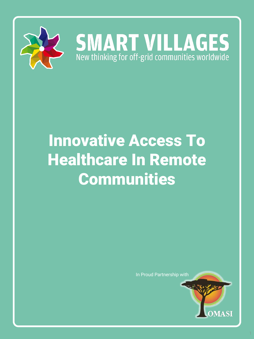

# **SMART VILLAGES**<br>New thinking for off-grid communities worldwide

# Innovative Access To Healthcare In Remote Communities

In Proud Partnership with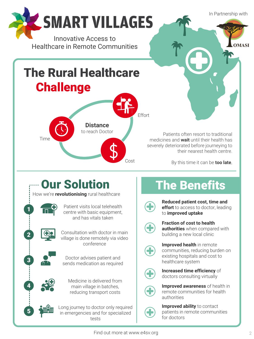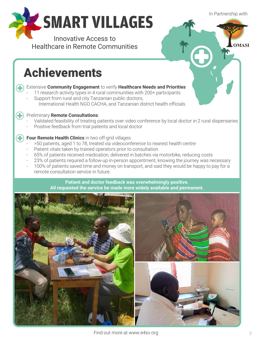In Partnership with

**OMASI** 



Innovative Access to Healthcare in Remote Communities

# Achievements

#### Extensive **Community Engagement** to verify **Healthcare Needs and Priorities**

- 11 research activity types in 4 rural communities with 200+ participants
- Support from rural and city Tanzanian public doctors, International Health NGO CACHA, and Tanzanian district health officials

#### Preliminary **Remote Consultations**:

4

- Validated feasibility of treating patients over video conference by local doctor in 2 rural dispensaries
- Positive feedback from trial patients and local doctor

#### **Four Remote Health Clinics** in two off-grid villages:

- >50 patients, aged 1 to 78, treated via videoconference to nearest health centre
- Patient vitals taken by trained operators prior to consultation
- 65% of patients received medication, delivered in batches via motorbike, reducing costs
- 23% of patients required a follow-up in-person appointment, knowing the journey was necessary
- 100% of patients saved time and money on transport, and said they would be happy to pay for a remote consultation service in future.

**Patient and doctor feedback was overwhelmingly positive. All requested the service be made more widely available and permanent.**

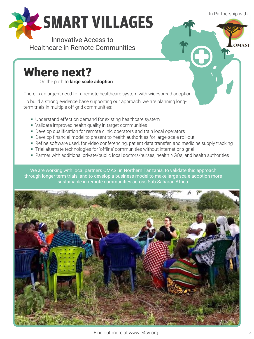In Partnership with

**OMASI** 

一个



Innovative Access to Healthcare in Remote Communities

### Where next?

On the path to **large scale adoption**

There is an urgent need for a remote healthcare system with widespread adoption.

To build a strong evidence base supporting our approach, we are planning longterm trials in multiple off-grid communities:

- Understand effect on demand for existing healthcare system
- Validate improved health quality in target communities
- **Develop qualification for remote clinic operators and train local operators**
- **Develop financial model to present to health authorities for large-scale roll-out**
- Refine software used, for video conferencing, patient data transfer, and medicine supply tracking
- **Trial alternate technologies for 'offline' communities without internet or signal**
- Partner with additional private/public local doctors/nurses, health NGOs, and health authorities

We are working with local partners OMASI in Northern Tanzania, to validate this approach through longer term trials, and to develop a business model to make large scale adoption more sustainable in remote communities across Sub-Saharan Africa.